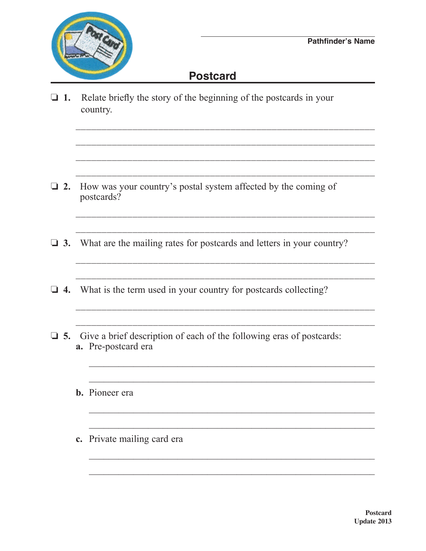

## **Postcard**

 $\Box$  1. Relate briefly the story of the beginning of the postcards in your country.

- $\Box$  2. How was your country's postal system affected by the coming of postcards?
- $\Box$  3. What are the mailing rates for postcards and letters in your country?

- $\Box$  4. What is the term used in your country for postcards collecting?
- $\Box$  5. Give a brief description of each of the following eras of postcards: a. Pre-postcard era
	- **b.** Pioneer era
	- c. Private mailing card era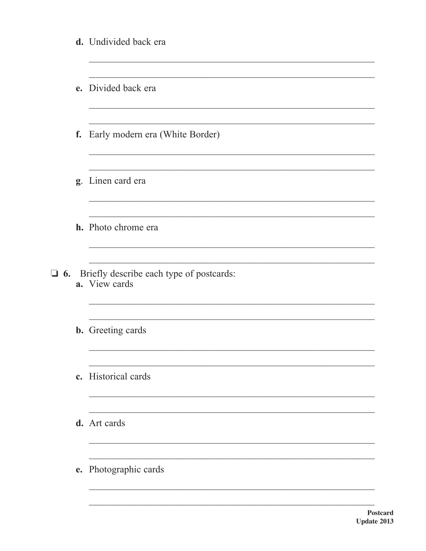|           | d. Undivided back era                                     |
|-----------|-----------------------------------------------------------|
|           | e. Divided back era                                       |
|           | f. Early modern era (White Border)                        |
|           | g. Linen card era                                         |
|           | h. Photo chrome era                                       |
| $\Box$ 6. | Briefly describe each type of postcards:<br>a. View cards |
|           | <b>b.</b> Greeting cards                                  |
|           | c. Historical cards                                       |
|           | d. Art cards                                              |
|           | e. Photographic cards                                     |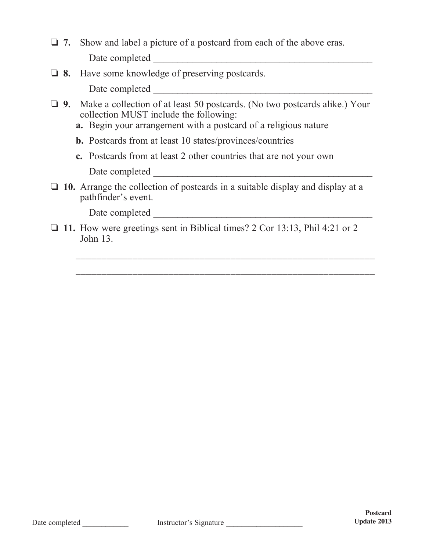- □ 7. Show and label a picture of a postcard from each of the above eras. Date completed \_\_\_\_\_\_\_\_\_\_\_\_\_\_\_\_\_\_\_\_\_\_\_\_\_\_\_\_\_\_\_\_\_\_\_\_\_\_\_\_\_\_\_\_\_
- **12. 8.** Have some knowledge of preserving postcards.

Date completed \_\_\_\_\_\_\_\_\_\_\_\_\_\_\_\_\_\_\_\_\_\_\_\_\_\_\_\_\_\_\_\_\_\_\_\_\_\_\_\_\_\_\_\_\_

- **9.** Make a collection of at least 50 postcards. (No two postcards alike.) Your collection MUST include the following:
	- **a.** Begin your arrangement with a postcard of a religious nature
	- **b.** Postcards from at least 10 states/provinces/countries
	- **c.** Postcards from at least 2 other countries that are not your own

Date completed \_\_\_\_\_\_\_\_\_\_\_\_\_\_\_\_\_\_\_\_\_\_\_\_\_\_\_\_\_\_\_\_\_\_\_\_\_\_\_\_\_\_\_\_\_

o **10.** Arrange the collection of postcards in a suitable display and display at a pathfinder's event.

Date completed \_\_\_\_\_\_\_\_\_\_\_\_\_\_\_\_\_\_\_\_\_\_\_\_\_\_\_\_\_\_\_\_\_\_\_\_\_\_\_\_\_\_\_\_\_

 $\Box$  11. How were greetings sent in Biblical times? 2 Cor 13:13, Phil 4:21 or 2 John 13.

 $\overline{\phantom{a}}$  ,  $\overline{\phantom{a}}$  ,  $\overline{\phantom{a}}$  ,  $\overline{\phantom{a}}$  ,  $\overline{\phantom{a}}$  ,  $\overline{\phantom{a}}$  ,  $\overline{\phantom{a}}$  ,  $\overline{\phantom{a}}$  ,  $\overline{\phantom{a}}$  ,  $\overline{\phantom{a}}$  ,  $\overline{\phantom{a}}$  ,  $\overline{\phantom{a}}$  ,  $\overline{\phantom{a}}$  ,  $\overline{\phantom{a}}$  ,  $\overline{\phantom{a}}$  ,  $\overline{\phantom{a}}$ 

\_\_\_\_\_\_\_\_\_\_\_\_\_\_\_\_\_\_\_\_\_\_\_\_\_\_\_\_\_\_\_\_\_\_\_\_\_\_\_\_\_\_\_\_\_\_\_\_\_\_\_\_\_\_\_\_\_\_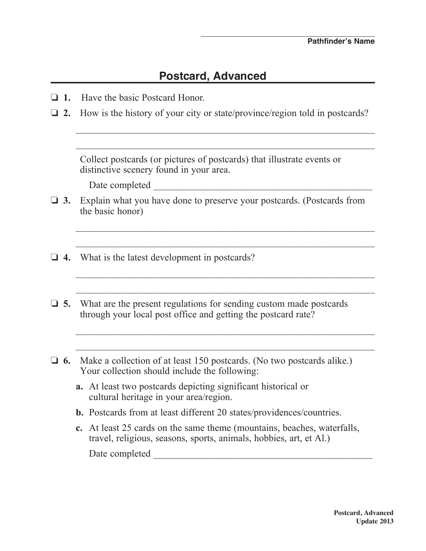## **Postcard, Advanced**

- o **1.** Have the basic Postcard Honor.
- $\Box$  **2.** How is the history of your city or state/province/region told in postcards?

 $\overline{\phantom{a}}$  ,  $\overline{\phantom{a}}$  ,  $\overline{\phantom{a}}$  ,  $\overline{\phantom{a}}$  ,  $\overline{\phantom{a}}$  ,  $\overline{\phantom{a}}$  ,  $\overline{\phantom{a}}$  ,  $\overline{\phantom{a}}$  ,  $\overline{\phantom{a}}$  ,  $\overline{\phantom{a}}$  ,  $\overline{\phantom{a}}$  ,  $\overline{\phantom{a}}$  ,  $\overline{\phantom{a}}$  ,  $\overline{\phantom{a}}$  ,  $\overline{\phantom{a}}$  ,  $\overline{\phantom{a}}$ 

 $\overline{\phantom{a}}$  ,  $\overline{\phantom{a}}$  ,  $\overline{\phantom{a}}$  ,  $\overline{\phantom{a}}$  ,  $\overline{\phantom{a}}$  ,  $\overline{\phantom{a}}$  ,  $\overline{\phantom{a}}$  ,  $\overline{\phantom{a}}$  ,  $\overline{\phantom{a}}$  ,  $\overline{\phantom{a}}$  ,  $\overline{\phantom{a}}$  ,  $\overline{\phantom{a}}$  ,  $\overline{\phantom{a}}$  ,  $\overline{\phantom{a}}$  ,  $\overline{\phantom{a}}$  ,  $\overline{\phantom{a}}$ 

Collect postcards (or pictures of postcards) that illustrate events or distinctive scenery found in your area.

Date completed  $\blacksquare$ 

**3.** Explain what you have done to preserve your postcards. (Postcards from the basic honor)

 $\overline{\phantom{a}}$  ,  $\overline{\phantom{a}}$  ,  $\overline{\phantom{a}}$  ,  $\overline{\phantom{a}}$  ,  $\overline{\phantom{a}}$  ,  $\overline{\phantom{a}}$  ,  $\overline{\phantom{a}}$  ,  $\overline{\phantom{a}}$  ,  $\overline{\phantom{a}}$  ,  $\overline{\phantom{a}}$  ,  $\overline{\phantom{a}}$  ,  $\overline{\phantom{a}}$  ,  $\overline{\phantom{a}}$  ,  $\overline{\phantom{a}}$  ,  $\overline{\phantom{a}}$  ,  $\overline{\phantom{a}}$ 

 $\overline{\phantom{a}}$  ,  $\overline{\phantom{a}}$  ,  $\overline{\phantom{a}}$  ,  $\overline{\phantom{a}}$  ,  $\overline{\phantom{a}}$  ,  $\overline{\phantom{a}}$  ,  $\overline{\phantom{a}}$  ,  $\overline{\phantom{a}}$  ,  $\overline{\phantom{a}}$  ,  $\overline{\phantom{a}}$  ,  $\overline{\phantom{a}}$  ,  $\overline{\phantom{a}}$  ,  $\overline{\phantom{a}}$  ,  $\overline{\phantom{a}}$  ,  $\overline{\phantom{a}}$  ,  $\overline{\phantom{a}}$ 

\_\_\_\_\_\_\_\_\_\_\_\_\_\_\_\_\_\_\_\_\_\_\_\_\_\_\_\_\_\_\_\_\_\_\_\_\_\_\_\_\_\_\_\_\_\_\_\_\_\_\_\_\_\_\_\_\_\_

 $\overline{\phantom{a}}$  ,  $\overline{\phantom{a}}$  ,  $\overline{\phantom{a}}$  ,  $\overline{\phantom{a}}$  ,  $\overline{\phantom{a}}$  ,  $\overline{\phantom{a}}$  ,  $\overline{\phantom{a}}$  ,  $\overline{\phantom{a}}$  ,  $\overline{\phantom{a}}$  ,  $\overline{\phantom{a}}$  ,  $\overline{\phantom{a}}$  ,  $\overline{\phantom{a}}$  ,  $\overline{\phantom{a}}$  ,  $\overline{\phantom{a}}$  ,  $\overline{\phantom{a}}$  ,  $\overline{\phantom{a}}$ 

 $\overline{\phantom{a}}$  ,  $\overline{\phantom{a}}$  ,  $\overline{\phantom{a}}$  ,  $\overline{\phantom{a}}$  ,  $\overline{\phantom{a}}$  ,  $\overline{\phantom{a}}$  ,  $\overline{\phantom{a}}$  ,  $\overline{\phantom{a}}$  ,  $\overline{\phantom{a}}$  ,  $\overline{\phantom{a}}$  ,  $\overline{\phantom{a}}$  ,  $\overline{\phantom{a}}$  ,  $\overline{\phantom{a}}$  ,  $\overline{\phantom{a}}$  ,  $\overline{\phantom{a}}$  ,  $\overline{\phantom{a}}$ 

- $\Box$  **4.** What is the latest development in postcards?
- $\Box$  5. What are the present regulations for sending custom made postcards through your local post office and getting the postcard rate?
- $\Box$  **6.** Make a collection of at least 150 postcards. (No two postcards alike.) Your collection should include the following:
	- **a.** At least two postcards depicting significant historical or cultural heritage in your area/region.
	- **b.** Postcards from at least different 20 states/providences/countries.
	- **c.** At least 25 cards on the same theme (mountains, beaches, waterfalls, travel, religious, seasons, sports, animals, hobbies, art, et Al.) Date completed \_\_\_\_\_\_\_\_\_\_\_\_\_\_\_\_\_\_\_\_\_\_\_\_\_\_\_\_\_\_\_\_\_\_\_\_\_\_\_\_\_\_\_\_\_